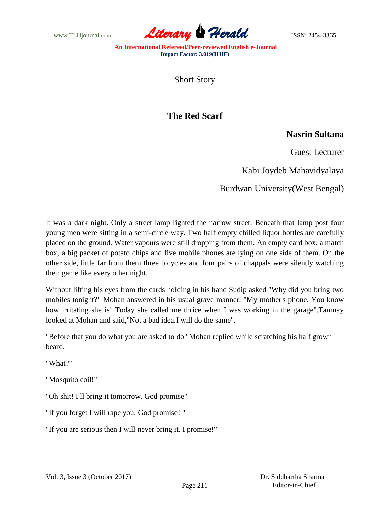www.TLHjournal.com **Literary Herald Herald ISSN: 2454-3365** 

**An International Refereed/Peer-reviewed English e-Journal Impact Factor: 3.019(IIJIF)**

Short Story

## **The Red Scarf**

## **Nasrin Sultana**

Guest Lecturer

Kabi Joydeb Mahavidyalaya

Burdwan University(West Bengal)

It was a dark night. Only a street lamp lighted the narrow street. Beneath that lamp post four young men were sitting in a semi-circle way. Two half empty chilled liquor bottles are carefully placed on the ground. Water vapours were still dropping from them. An empty card box, a match box, a big packet of potato chips and five mobile phones are lying on one side of them. On the other side, little far from them three bicycles and four pairs of chappals were silently watching their game like every other night.

Without lifting his eyes from the cards holding in his hand Sudip asked "Why did you bring two mobiles tonight?" Mohan answered in his usual grave manner, "My mother's phone. You know how irritating she is! Today she called me thrice when I was working in the garage".Tanmay looked at Mohan and said,"Not a bad idea.I will do the same".

"Before that you do what you are asked to do" Mohan replied while scratching his half grown beard.

"What?"

"Mosquito coil!"

"Oh shit! I ll bring it tomorrow. God promise"

"If you forget I will rape you. God promise! "

"If you are serious then I will never bring it. I promise!"

 Dr. Siddhartha Sharma Editor-in-Chief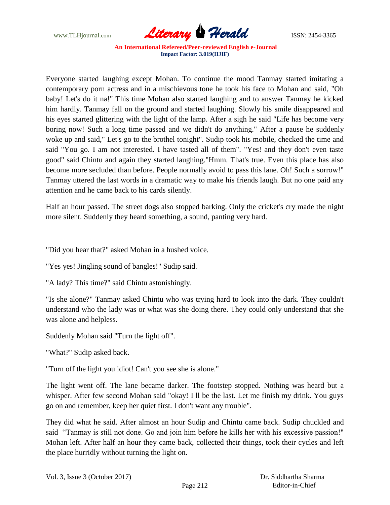

**An International Refereed/Peer-reviewed English e-Journal Impact Factor: 3.019(IIJIF)**

Everyone started laughing except Mohan. To continue the mood Tanmay started imitating a contemporary porn actress and in a mischievous tone he took his face to Mohan and said, "Oh baby! Let's do it na!" This time Mohan also started laughing and to answer Tanmay he kicked him hardly. Tanmay fall on the ground and started laughing. Slowly his smile disappeared and his eyes started glittering with the light of the lamp. After a sigh he said "Life has become very boring now! Such a long time passed and we didn't do anything." After a pause he suddenly woke up and said," Let's go to the brothel tonight". Sudip took his mobile, checked the time and said "You go. I am not interested. I have tasted all of them". "Yes! and they don't even taste good" said Chintu and again they started laughing."Hmm. That's true. Even this place has also become more secluded than before. People normally avoid to pass this lane. Oh! Such a sorrow!" Tanmay uttered the last words in a dramatic way to make his friends laugh. But no one paid any attention and he came back to his cards silently.

Half an hour passed. The street dogs also stopped barking. Only the cricket's cry made the night more silent. Suddenly they heard something, a sound, panting very hard.

"Did you hear that?" asked Mohan in a hushed voice.

"Yes yes! Jingling sound of bangles!" Sudip said.

"A lady? This time?" said Chintu astonishingly.

"Is she alone?" Tanmay asked Chintu who was trying hard to look into the dark. They couldn't understand who the lady was or what was she doing there. They could only understand that she was alone and helpless.

Suddenly Mohan said "Turn the light off".

"What?" Sudip asked back.

"Turn off the light you idiot! Can't you see she is alone."

The light went off. The lane became darker. The footstep stopped. Nothing was heard but a whisper. After few second Mohan said "okay! I ll be the last. Let me finish my drink. You guys go on and remember, keep her quiet first. I don't want any trouble".

They did what he said. After almost an hour Sudip and Chintu came back. Sudip chuckled and said "Tanmay is still not done. Go and join him before he kills her with his excessive passion!" Mohan left. After half an hour they came back, collected their things, took their cycles and left the place hurridly without turning the light on.

| Vol. 3, Issue $3$ (October 2017) |          | Dr. Siddhartha Sharma |
|----------------------------------|----------|-----------------------|
|                                  | Page 212 | Editor-in-Chief       |